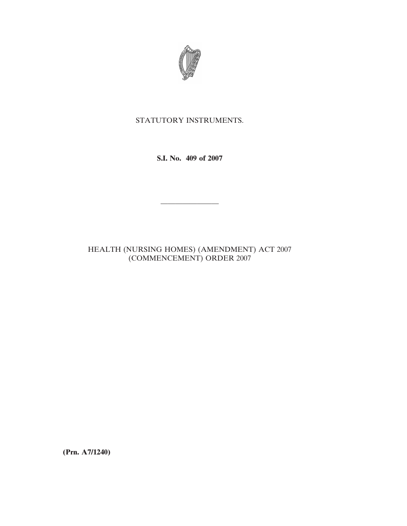

## STATUTORY INSTRUMENTS.

**S.I. No. 409 of 2007**

————————

## HEALTH (NURSING HOMES) (AMENDMENT) ACT 2007 (COMMENCEMENT) ORDER 2007

**(Prn. A7/1240)**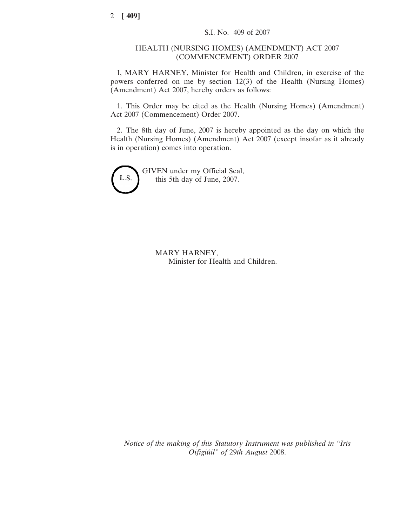## HEALTH (NURSING HOMES) (AMENDMENT) ACT 2007 (COMMENCEMENT) ORDER 2007

I, MARY HARNEY, Minister for Health and Children, in exercise of the powers conferred on me by section 12(3) of the Health (Nursing Homes) (Amendment) Act 2007, hereby orders as follows:

1. This Order may be cited as the Health (Nursing Homes) (Amendment) Act 2007 (Commencement) Order 2007.

2. The 8th day of June, 2007 is hereby appointed as the day on which the Health (Nursing Homes) (Amendment) Act 2007 (except insofar as it already is in operation) comes into operation.



GIVEN under my Official Seal, this 5th day of June, 2007.

> MARY HARNEY, Minister for Health and Children.

*Notice of the making of this Statutory Instrument was published in "Iris Oifigiu´il" of* 29*th August* 2008.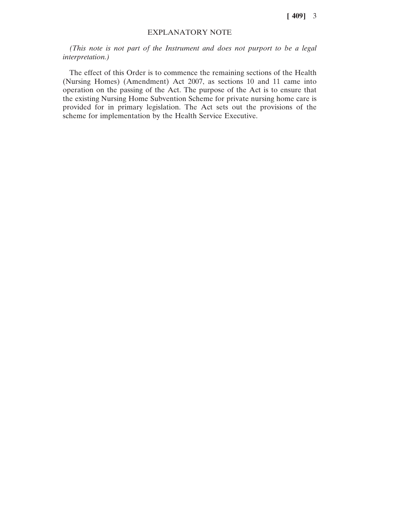**[ 409]** 3

## EXPLANATORY NOTE

*(This note is not part of the Instrument and does not purport to be a legal interpretation.)*

The effect of this Order is to commence the remaining sections of the Health (Nursing Homes) (Amendment) Act 2007, as sections 10 and 11 came into operation on the passing of the Act. The purpose of the Act is to ensure that the existing Nursing Home Subvention Scheme for private nursing home care is provided for in primary legislation. The Act sets out the provisions of the scheme for implementation by the Health Service Executive.